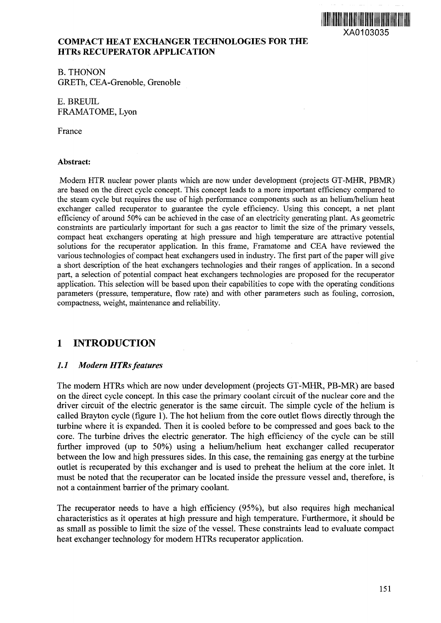# **COMPACT HEAT EXCHANGER TECHNOLOGIES FOR THE HTRs RECUPERATOR APPLICATION**

B. THONON GRETh, CEA-Grenoble, Grenoble

E. BREUIL FRAMATOME, Lyon

France

#### **Abstract:**

Modern HTR nuclear power plants which are now under development (projects GT-MHR, PBMR) are based on the direct cycle concept. This concept leads to a more important efficiency compared to the steam cycle but requires the use of high performance components such as an helium/helium heat exchanger called recuperator to guarantee the cycle efficiency. Using this concept, a net plant efficiency of around 50% can be achieved in the case of an electricity generating plant. As geometric constraints are particularly important for such a gas reactor to limit the size of the primary vessels, compact heat exchangers operating at high pressure and high temperature are attractive potential solutions for the recuperator application. In this frame, Framatome and CEA have reviewed the various technologies of compact heat exchangers used in industry. The first part of the paper will give a short description of the heat exchangers technologies and their ranges of application. In a second part, a selection of potential compact heat exchangers technologies are proposed for the recuperator application. This selection will be based upon their capabilities to cope with the operating conditions parameters (pressure, temperature, flow rate) and with other parameters such as fouling, corrosion, compactness, weight, maintenance and reliability.

# 1 INTRODUCTION

#### *1.1 Modern HTRs features*

The modern HTRs which are now under development (projects GT-MHR, PB-MR) are based on the direct cycle concept, hi this case the primary coolant circuit of the nuclear core and the driver circuit of the electric generator is the same circuit. The simple cycle of the helium is called Brayton cycle (figure 1). The hot helium from the core outlet flows directly through the turbine where it is expanded. Then it is cooled before to be compressed and goes back to the core. The turbine drives the electric generator. The high efficiency of the cycle can be still further improved (up to 50%) using a helium/helium heat exchanger called recuperator between the low and high pressures sides. In this case, the remaining gas energy at the turbine outlet is recuperated by this exchanger and is used to preheat the helium at the core inlet. It must be noted that the recuperator can be located inside the pressure vessel and, therefore, is not a containment barrier of the primary coolant.

The recuperator needs to have a high efficiency (95%), but also requires high mechanical characteristics as it operates at high pressure and high temperature. Furthermore, it should be as small as possible to limit the size of the vessel. These constraints lead to evaluate compact heat exchanger technology for modern HTRs recuperator application.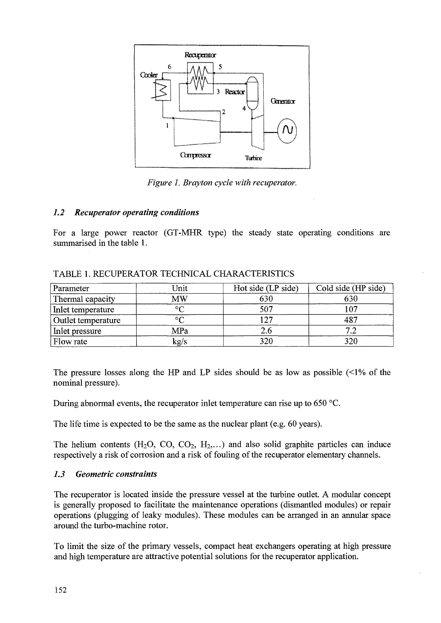

*Figure 1. Brayton cycle with recuperator.* 

# *1.2 Recuperator operating conditions*

For a large power reactor (GT-MHR type) the steady state operating conditions are summarised in the table 1.

| Parameter          | Jnit   | Hot side (LP side) | Cold side (HP side) |
|--------------------|--------|--------------------|---------------------|
| Thermal capacity   | MW     | 630                | 630                 |
| Inlet temperature  | $\sim$ | 507                | 107                 |
| Outlet temperature | $\sim$ | 127                | 487                 |
| Inlet pressure     | MPa    | z.o                |                     |
| Flow rate          | kg/s   | 320                | 320                 |

TABLE 1. RECUPERATOR TECHNICAL CHARACTERISTICS

The pressure losses along the HP and LP sides should be as low as possible (<1% of the nominal pressure).

During abnormal events, the recuperator inlet temperature can rise up to 650 °C.

The life time is expected to be the same as the nuclear plant (e.g. 60 years).

The helium contents  $(H_2O, CO, CO_2, H_2,...)$  and also solid graphite particles can induce respectively a risk of corrosion and a risk of fouling of the recuperator elementary channels.

# *1.3 Geometric constraints*

The recuperator is located inside the pressure vessel at the turbine outlet. A modular concept is generally proposed to facilitate the maintenance operations (dismantled modules) or repair operations (plugging of leaky modules). These modules can be arranged in an annular space around the turbo-machine rotor.

To limit the size of the primary vessels, compact heat exchangers operating at high pressure and high temperature are attractive potential solutions for the recuperator application.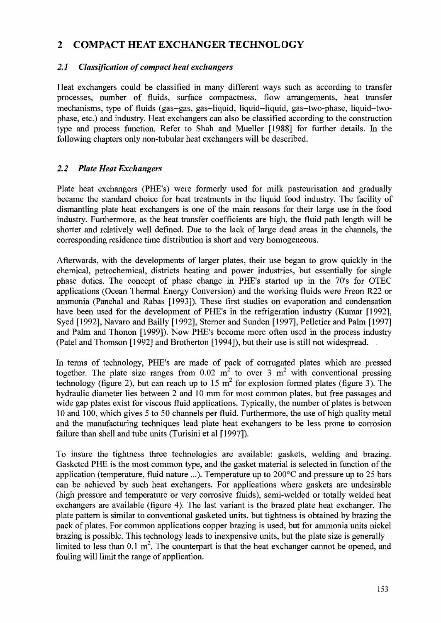# 2 COMPACT HEAT EXCHANGER TECHNOLOGY

## *2.1 Classification of compact heat exchangers*

Heat exchangers could be classified in many different ways such as according to transfer processes, number of fluids, surface compactness, flow arrangements, heat transfer mechanisms, type of fluids (gas-gas, gas-liquid, liquid-liquid, gas-two-phase, liquid-twophase, etc.) and industry. Heat exchangers can also be classified according to the construction type and process function. Refer to Shah and Mueller [1988] for further details. In the following chapters only non-tubular heat exchangers will be described.

#### *2.2 Plate Heat Exchangers*

Plate heat exchangers (PHE's) were formerly used for milk pasteurisation and gradually became the standard choice for heat treatments in the liquid food industry. The facility of dismantling plate heat exchangers is one of the main reasons for their large use in the food industry. Furthermore, as the heat transfer coefficients are high, the fluid path length will be shorter and relatively well defined. Due to the lack of large dead areas in the channels, the corresponding residence time distribution is short and very homogeneous.

Afterwards, with the developments of larger plates, their use began to grow quickly in the chemical, petrochemical, districts heating and power industries, but essentially for single phase duties. The concept of phase change in PHE's started up in the 70's for OTEC applications (Ocean Thermal Energy Conversion) and the working fluids were Freon R22 or ammonia (Panchal and Rabas [1993]). These first studies on evaporation and condensation have been used for the development of PHE's in the refrigeration industry (Kumar [1992], Syed [1992], Navaro and Bailly [1992], Sterner and Sunden [1997], Pelletier and Palm [1997] and Palm and Thonon [1999]). Now PHE's become more often used in the process industry (Patel and Thomson [1992] and Brotherton [1994]), but their use is still not widespread.

In terms of technology, PHE's are made of pack of corrugated plates which are pressed together. The plate size ranges from 0.02  $m^2$  to over 3  $m^2$  with conventional pressing technology (figure 2), but can reach up to 15  $m^2$  for explosion formed plates (figure 3). The hydraulic diameter lies between 2 and 10 mm for most common plates, but free passages and wide gap plates exist for viscous fluid applications. Typically, the number of plates is between 10 and 100, which gives 5 to 50 channels per fluid. Furthermore, the use of high quality metal and the manufacturing techniques lead plate heat exchangers to be less prone to corrosion failure than shell and tube units (Turisini et al [1997]).

To insure the tightness three technologies are available: gaskets, welding and brazing. Gasketed PHE is the most common type, and the gasket material is selected in function of the application (temperature, fluid nature ...). Temperature up to 200°C and pressure up to 25 bars can be achieved by such heat exchangers. For applications where gaskets are undesirable (high pressure and temperature or very corrosive fluids), semi-welded or totally welded heat exchangers are available (figure 4). The last variant is the brazed plate heat exchanger. The plate pattern is similar to conventional gasketed units, but tightness is obtained by brazing the pack of plates. For common applications copper brazing is used, but for ammonia units nickel brazing is possible. This technology leads to inexpensive units, but the plate size is generally limited to less than  $0.1 \text{ m}^2$ . The counterpart is that the heat exchanger cannot be opened, and fouling will limit the range of application.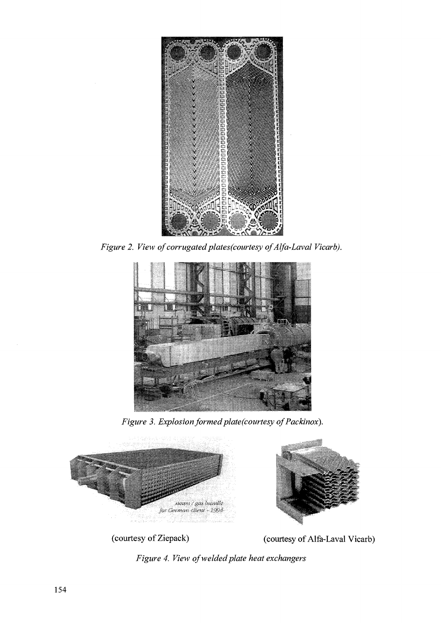

*Figure 2. View of corrugated plates (courtesy of Alfa-Laval Vicarb).*



*Figure 3. Explosion formed plate (courtesy of Packinox).*



(courtesy of Ziepack) (courtesy of Alfa-Laval Vicarb)

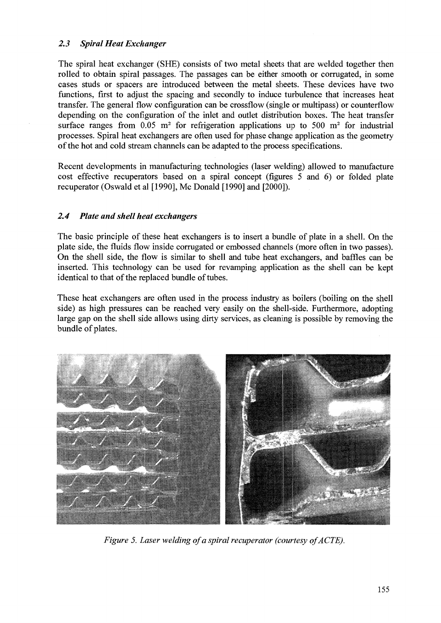## *2.3 Spiral Heat Exchanger*

The spiral heat exchanger (SHE) consists of two metal sheets that are welded together then rolled to obtain spiral passages. The passages can be either smooth or corrugated, in some cases studs or spacers are introduced between the metal sheets. These devices have two functions, first to adjust the spacing and secondly to induce turbulence that increases heat transfer. The general flow configuration can be crossflow (single or multipass) or counterflow depending on the configuration of the inlet and outlet distribution boxes. The heat transfer surface ranges from  $0.05$  m<sup>2</sup> for refrigeration applications up to 500 m<sup>2</sup> for industrial processes. Spiral heat exchangers are often used for phase change application as the geometry of the hot and cold stream channels can be adapted to the process specifications.

Recent developments in manufacturing technologies (laser welding) allowed to manufacture cost effective recuperators based on a spiral concept (figures 5 and 6) or folded plate recuperator (Oswald et al [1990], Me Donald [1990] and [2000]).

#### *2.4 Plate and shell heat exchangers*

The basic principle of these heat exchangers is to insert a bundle of plate in a shell. On the plate side, the fluids flow inside corrugated or embossed channels (more often in two passes). On the shell side, the flow is similar to shell and tube heat exchangers, and baffles can be inserted. This technology can be used for revamping application as the shell can be kept identical to that of the replaced bundle of tubes.

These heat exchangers are often used in the process industry as boilers (boiling on the shell side) as high pressures can be reached very easily on the shell-side. Furthermore, adopting large gap on the shell side allows using dirty services, as cleaning is possible by removing the bundle of plates.



*Figure 5. Laser welding of a spiral recuperator (courtesy of ACTE).*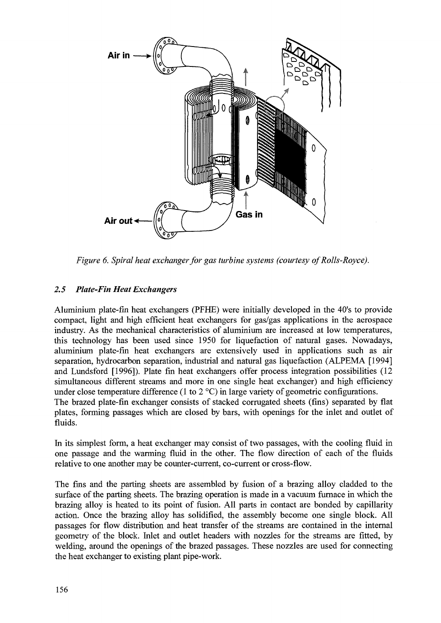

*Figure 6. Spiral heat exchanger for gas turbine systems (courtesy of Rolls-Royce).*

# *2.5 Plate-Fin Heat Exchangers*

Aluminium plate-fin heat exchangers (PFHE) were initially developed in the 40's to provide compact, light and high efficient heat exchangers for gas/gas applications in the aerospace industry. As the mechanical characteristics of aluminium are increased at low temperatures, this technology has been used since 1950 for liquefaction of natural gases. Nowadays, aluminium plate-fin heat exchangers are extensively used in applications such as air separation, hydrocarbon separation, industrial and natural gas liquefaction (ALPEMA [1994] and Lundsford [1996]). Plate fin heat exchangers offer process integration possibilities (12 simultaneous different streams and more in one single heat exchanger) and high efficiency under close temperature difference (1 to 2  $^{\circ}$ C) in large variety of geometric configurations. The brazed plate-fin exchanger consists of stacked corrugated sheets (fins) separated by flat plates, forming passages which are closed by bars, with openings for the inlet and outlet of fluids.

In its simplest form, a heat exchanger may consist of two passages, with the cooling fluid in one passage and the warming fluid in the other. The flow direction of each of the fluids relative to one another may be counter-current, co-current or cross-flow.

The fins and the parting sheets are assembled by fusion of a brazing alloy cladded to the surface of the parting sheets. The brazing operation is made in a vacuum furnace in which the brazing alloy is heated to its point of fusion. All parts in contact are bonded by capillarity action. Once the brazing alloy has solidified, the assembly become one single block. All passages for flow distribution and heat transfer of the streams are contained in the internal geometry of the block. Inlet and outlet headers with nozzles for the streams are fitted, by welding, around the openings of the brazed passages. These nozzles are used for connecting the heat exchanger to existing plant pipe-work.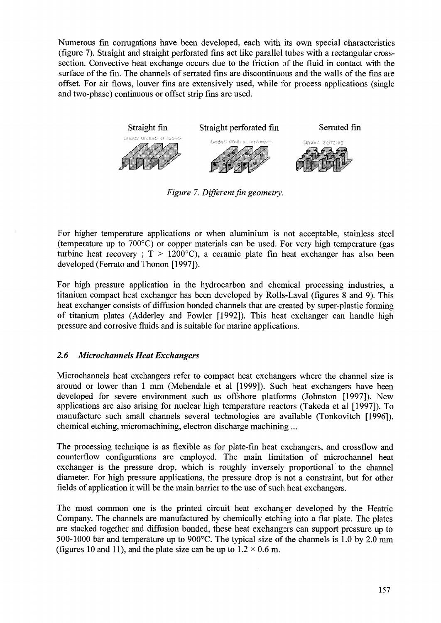Numerous fin corrugations have been developed, each with its own special characteristics (figure 7). Straight and straight perforated fins act like parallel tubes with a rectangular crosssection. Convective heat exchange occurs due to the friction of the fluid in contact with the surface of the fin. The channels of serrated fins are discontinuous and the walls of the fins are offset. For air flows, louver fins are extensively used, while for process applications (single and two-phase) continuous or offset strip fins are used.



*Figure 7. Different fin geometry.*

For higher temperature applications or when aluminium is not acceptable, stainless steel (temperature up to  $700^{\circ}$ C) or copper materials can be used. For very high temperature (gas turbine heat recovery ;  $T > 1200^{\circ}$ C), a ceramic plate fin heat exchanger has also been developed (Ferrato and Thonon [1997]).

For high pressure application in the hydrocarbon and chemical processing industries, a titanium compact heat exchanger has been developed by Rolls-Laval (figures 8 and 9). This heat exchanger consists of diffusion bonded channels that are created by super-plastic forming of titanium plates (Adderley and Fowler [1992]). This heat exchanger can handle high pressure and corrosive fluids and is suitable for marine applications.

# *2.6 Microchannels Heat Exchangers*

Microchannels heat exchangers refer to compact heat exchangers where the channel size is around or lower than 1 mm (Mehendale et al [1999]). Such heat exchangers have been developed for severe environment such as offshore platforms (Johnston [1997]). New applications are also arising for nuclear high temperature reactors (Takeda et al [1997]). To manufacture such small channels several technologies are available (Tonkovitch [1996]). chemical etching, micromachining, electron discharge machining ...

The processing technique is as flexible as for plate-fin heat exchangers, and crossflow and counterflow configurations are employed. The main limitation of microchannel heat exchanger is the pressure drop, which is roughly inversely proportional to the channel diameter. For high pressure applications, the pressure drop is not a constraint, but for other fields of application it will be the main barrier to the use of such heat exchangers.

The most common one is the printed circuit heat exchanger developed by the Heatric Company. The channels are manufactured by chemically etching into a flat plate. The plates are stacked together and diffusion bonded, these heat exchangers can support pressure up to 500-1000 bar and temperature up to 900°C. The typical size of the channels is 1.0 by 2.0 mm (figures 10 and 11), and the plate size can be up to  $1.2 \times 0.6$  m.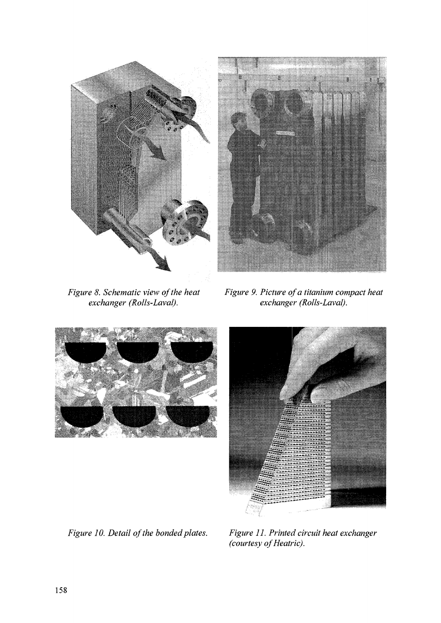



*Figure 8. Schematic view of the heat exchanger (Rolls-Laval).*

*Figure 9. Picture of a titanium compact heat exchanger (Rolls-Laval).*





*Figure 10. Detail of the bonded plates. Figure 11. Printed circuit heat exchanger (courtesy ofHeatric).*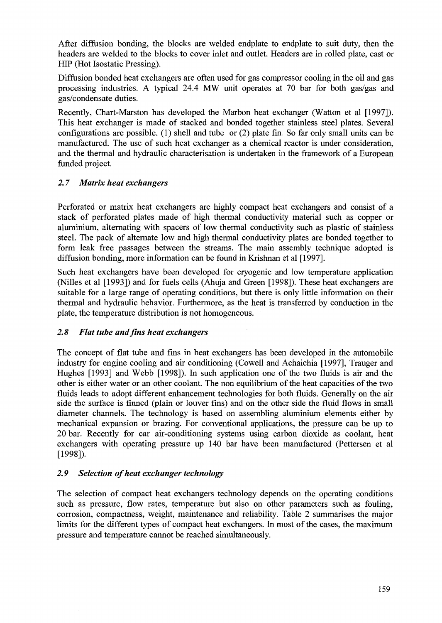After diffusion bonding, the blocks are welded endplate to endplate to suit duty, then the headers are welded to the blocks to cover inlet and outlet. Headers are in rolled plate, cast or HIP (Hot Isostatic Pressing).

Diffusion bonded heat exchangers are often used for gas compressor cooling in the oil and gas processing industries. A typical 24.4 MW unit operates at 70 bar for both gas/gas and gas/condensate duties.

Recently, Chart-Marston has developed the Marbon heat exchanger (Watton et al [1997]). This heat exchanger is made of stacked and bonded together stainless steel plates. Several configurations are possible. (1) shell and tube or  $(2)$  plate fin. So far only small units can be manufactured. The use of such heat exchanger as a chemical reactor is under consideration, and the thermal and hydraulic characterisation is undertaken in the framework of a European funded project.

#### *2.7 Matrix heat exchangers*

Perforated or matrix heat exchangers are highly compact heat exchangers and consist of a stack of perforated plates made of high thermal conductivity material such as copper or aluminium, alternating with spacers of low thermal conductivity such as plastic of stainless steel. The pack of alternate low and high thermal conductivity plates are bonded together to form leak free passages between the streams. The main assembly technique adopted is diffusion bonding, more information can be found in Krishnan et al [1997].

Such heat exchangers have been developed for cryogenic and low temperature application (Nilles et al [1993]) and for fuels cells (Ahuja and Green £1998]). These heat exchangers are suitable for a large range of operating conditions, but there is only little information on their thermal and hydraulic behavior. Furthermore, as the heat is transferred by conduction in the plate, the temperature distribution is not homogeneous.

# *2.8 Flat tube and fins heat exchangers*

The concept of flat tube and fins in heat exchangers has been developed in the automobile industry for engine cooling and air conditioning (Cowell and Achaichia [1997], Trauger and Hughes [1993] and Webb [1998]). In such application one of the two fluids is air and the other is either water or an other coolant. The non equilibrium of the heat capacities of the two fluids leads to adopt different enhancement technologies for both fluids. Generally on the air side the surface is finned (plain or louver fins) and on the other side the fluid flows in small diameter channels. The technology is based on assembling aluminium elements either by mechanical expansion or brazing. For conventional applications, the pressure can be up to 20 bar. Recently for car air-conditioning systems using carbon dioxide as coolant, heat exchangers with operating pressure up 140 bar have been manufactured (Pettersen et al [1998]).

#### *2.9 Selection of heat exchanger technology*

The selection of compact heat exchangers technology depends on the operating conditions such as pressure, flow rates, temperature but also on other parameters such as fouling, corrosion, compactness, weight, maintenance and reliability. Table 2 summarises the major limits for the different types of compact heat exchangers. In most of the cases, the maximum pressure and temperature cannot be reached simultaneously.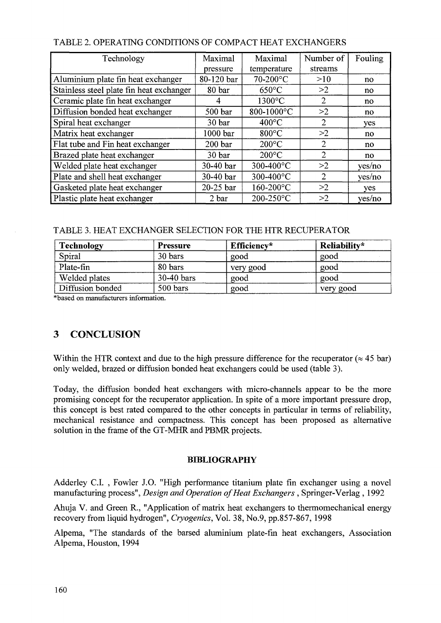| Technology                               | Maximal            | Maximal         | Number of      | Fouling |
|------------------------------------------|--------------------|-----------------|----------------|---------|
|                                          | pressure           | temperature     | streams        |         |
| Aluminium plate fin heat exchanger       | 80-120 bar         | 70-200°C        | >10            | no      |
| Stainless steel plate fin heat exchanger | 80 bar             | $650^{\circ}$ C | >2             | no      |
| Ceramic plate fin heat exchanger         |                    | 1300°C          | 2              | no      |
| Diffusion bonded heat exchanger          | 500 bar            | 800-1000°C      | >2             | no      |
| Spiral heat exchanger                    | 30 bar             | $400^{\circ}$ C | 2              | yes     |
| Matrix heat exchanger                    | 1000 bar           | $800^{\circ}$ C | >2             | no      |
| Flat tube and Fin heat exchanger         | 200 <sub>bar</sub> | $200^{\circ}$ C | 2              | no      |
| Brazed plate heat exchanger              | 30 bar             | $200^{\circ}$ C | $\overline{2}$ | no.     |
| Welded plate heat exchanger              | 30-40 bar          | 300-400°C       | >2             | yes/no  |
| Plate and shell heat exchanger           | 30-40 bar          | 300-400°C       | $\overline{2}$ | yes/no  |
| Gasketed plate heat exchanger            | 20-25 bar          | 160-200°C       | >2             | yes     |
| Plastic plate heat exchanger             | 2 bar              | 200-250°C       | >2             | yes/no  |

# TABLE 2. OPERATING CONDITIONS OF COMPACT HEAT EXCHANGERS

|  | TABLE 3. HEAT EXCHANGER SELECTION FOR THE HTR RECUPERATOR |
|--|-----------------------------------------------------------|
|  |                                                           |

| <b>Technology</b> | <b>Pressure</b> | Efficiency* | Reliability* |
|-------------------|-----------------|-------------|--------------|
| Spiral            | 30 bars         | good        | good         |
| Plate-fin         | 80 bars         | very good   | good         |
| Welded plates     | 30-40 bars      | good        | good         |
| Diffusion bonded  | 500 bars        | good        | very good    |

\*based on manufacturers information.

# 3 CONCLUSION

Within the HTR context and due to the high pressure difference for the recuperator ( $\approx 45$  bar) only welded, brazed or diffusion bonded heat exchangers could be used (table 3).

Today, the diffusion bonded heat exchangers with micro-channels appear to be the more promising concept for the recuperator application. In spite of a more important pressure drop, this concept is best rated compared to the other concepts in particular in terms of reliability, mechanical resistance and compactness. This concept has been proposed as alternative solution in the frame of the GT-MHR and PBMR projects.

# **BIBLIOGRAPHY**

Adderley C.I., Fowler J.O. "High performance titanium plate fin exchanger using a novel manufacturing process", *Design and Operation of Heat Exchangers*, Springer- Verlag, 1992

Ahuja V. and Green R., "Application of matrix heat exchangers to thermomechanical energy recovery from liquid hydrogen", *Cryogenics,* Vol. 38, No.9, pp.857-867, 1998

Alpema, "The standards of the barsed aluminium plate-fin heat exchangers, Association Alpema, Houston, 1994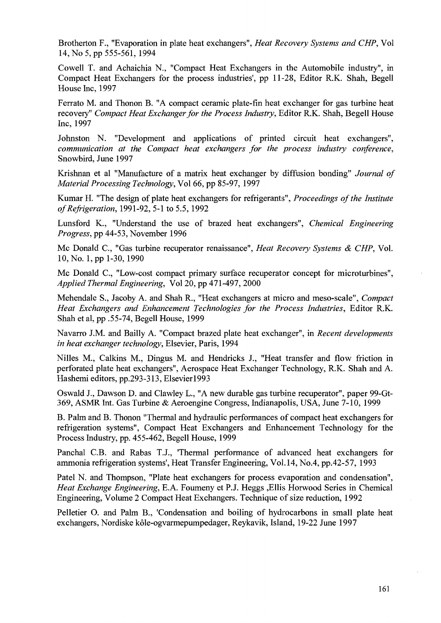Brotherton F., "Evaporation in plate heat exchangers", *Heat Recovery Systems and CHP,* Vol 14, No 5, pp 555-561, 1994

Cowell T. and Achaichia N., "Compact Heat Exchangers in the Automobile industry", in Compact Heat Exchangers for the process industries', pp 11-28, Editor R.K. Shah, Begell House Inc, 1997

Ferrato M. and Thonon B. "A compact ceramic plate-fin heat exchanger for gas turbine heat recovery" *Compact Heat Exchanger for the Process Industry,* Editor R.K. Shah, Begell House Inc, 1997

Johnston N. "Development and applications of printed circuit heat exchangers", *communication at the Compact heat exchangers for the process industry conference,* Snowbird, June 1997

Krishnan et al "Manufacture of a matrix heat exchanger by diffusion bonding" *Journal of Material Processing Technology,* Vol 66, pp 85-97, 1997

Kumar H. "The design of plate heat exchangers for refrigerants", *Proceedings of the Institute of Refrigeration,* 1991-92, 5-1 to 5.5, 1992

Lunsford K., "Understand the use of brazed heat exchangers", *Chemical Engineering Progress,* pp 44-53, November 1996

Me Donald C, "Gas turbine recuperator renaissance", *Heat Recovery Systems & CHP,* Vol. 10,No. l,pp 1-30, 1990

Me Donald C, "Low-cost compact primary surface recuperator concept for microturbines", *Applied Thermal Engineering,* Vol 20, pp 471-497, 2000

Mehendale S., Jacoby A. and Shah R., "Heat exchangers at micro and meso-scale", *Compact Heat Exchangers and Enhancement Technologies for the Process Industries,* Editor R.K. Shah et al, pp .55-74, Begell House, 1999

Navarro J.M. and Bailly A. "Compact brazed plate heat exchanger", in *Recent developments in heat exchanger technology,* Elsevier, Paris, 1994

Miles M., Calkins M., Dingus M. and Hendricks J., "Heat transfer and flow friction in perforated plate heat exchangers", Aerospace Heat Exchanger Technology, R.K. Shah and A. Hashemi editors, pp.293-313, Elsevierl993

Oswald J., Dawson D. and Clawley L., "A new durable gas turbine recuperator", paper 99-Gt-369, ASMR Int. Gas Turbine & Aeroengine Congress, Indianapolis, USA, June 7-10, 1999

B. Palm and B. Thonon "Thermal and hydraulic performances of compact heat exchangers for refrigeration systems", Compact Heat Exchangers and Enhancement Technology for the Process Industry, pp. 455-462, Begell House, 1999

Panchal C.B. and Rabas T.J., 'Thermal performance of advanced heat exchangers for ammonia refrigeration systems', Heat Transfer Engineering, Vol.14, No.4, pp.42-57, 1993

Patel N. and Thompson, "Plate heat exchangers for process evaporation and condensation", *Heat Exchange Engineering,* E.A. Foumeny et P.J. Heggs ,Ellis Horwood Series in Chemical Engineering, Volume 2 Compact Heat Exchangers. Technique of size reduction, 1992

Pelletier O. and Palm B., 'Condensation and boiling of hydrocarbons in small plate heat exchangers, Nordiske kole-ogvarmepumpedager, Reykavik, Island, 19-22 June 1997